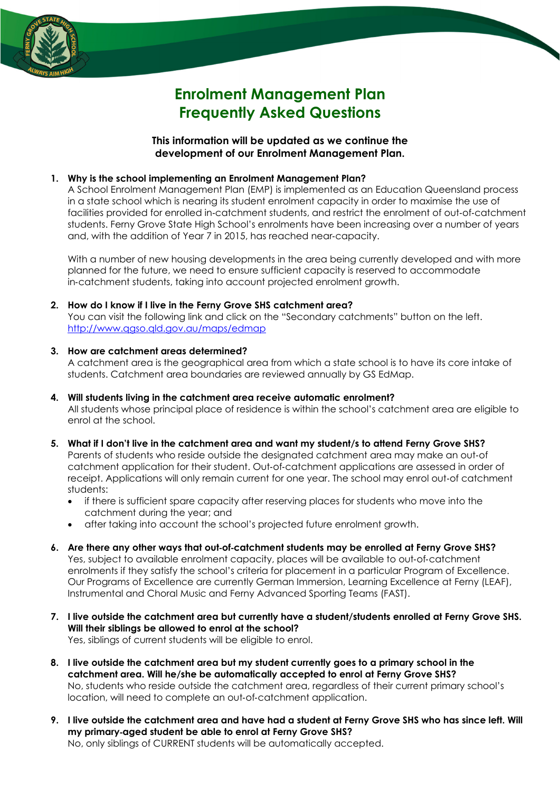

# **Enrolment Management Plan Frequently Asked Questions**

**This information will be updated as we continue the development of our Enrolment Management Plan.** 

## **1. Why is the school implementing an Enrolment Management Plan?**

A School Enrolment Management Plan (EMP) is implemented as an Education Queensland process in a state school which is nearing its student enrolment capacity in order to maximise the use of facilities provided for enrolled in-catchment students, and restrict the enrolment of out-of-catchment students. Ferny Grove State High School's enrolments have been increasing over a number of years and, with the addition of Year 7 in 2015, has reached near-capacity.

With a number of new housing developments in the area being currently developed and with more planned for the future, we need to ensure sufficient capacity is reserved to accommodate in-catchment students, taking into account projected enrolment growth.

**2. How do I know if I live in the Ferny Grove SHS catchment area?**  You can visit the following link and click on the "Secondary catchments" button on the left. http://www.qgso.qld.gov.au/maps/edmap

## **3. How are catchment areas determined?**

A catchment area is the geographical area from which a state school is to have its core intake of students. Catchment area boundaries are reviewed annually by GS EdMap.

- **4. Will students living in the catchment area receive automatic enrolment?**  All students whose principal place of residence is within the school's catchment area are eligible to enrol at the school.
- **5. What if I don't live in the catchment area and want my student/s to attend Ferny Grove SHS?**  Parents of students who reside outside the designated catchment area may make an out-of catchment application for their student. Out-of-catchment applications are assessed in order of receipt. Applications will only remain current for one year. The school may enrol out-of catchment students:
	- if there is sufficient spare capacity after reserving places for students who move into the catchment during the year; and
	- after taking into account the school's projected future enrolment growth.
- **6. Are there any other ways that out**-**of**-**catchment students may be enrolled at Ferny Grove SHS?**  Yes, subject to available enrolment capacity, places will be available to out-of-catchment enrolments if they satisfy the school's criteria for placement in a particular Program of Excellence. Our Programs of Excellence are currently German Immersion, Learning Excellence at Ferny (LEAF), Instrumental and Choral Music and Ferny Advanced Sporting Teams (FAST).
- **7. I live outside the catchment area but currently have a student/students enrolled at Ferny Grove SHS. Will their siblings be allowed to enrol at the school?**

Yes, siblings of current students will be eligible to enrol.

- **8. I live outside the catchment area but my student currently goes to a primary school in the catchment area. Will he/she be automatically accepted to enrol at Ferny Grove SHS?**  No, students who reside outside the catchment area, regardless of their current primary school's location, will need to complete an out-of-catchment application.
- **9. I live outside the catchment area and have had a student at Ferny Grove SHS who has since left. Will my primary**-**aged student be able to enrol at Ferny Grove SHS?**

No, only siblings of CURRENT students will be automatically accepted.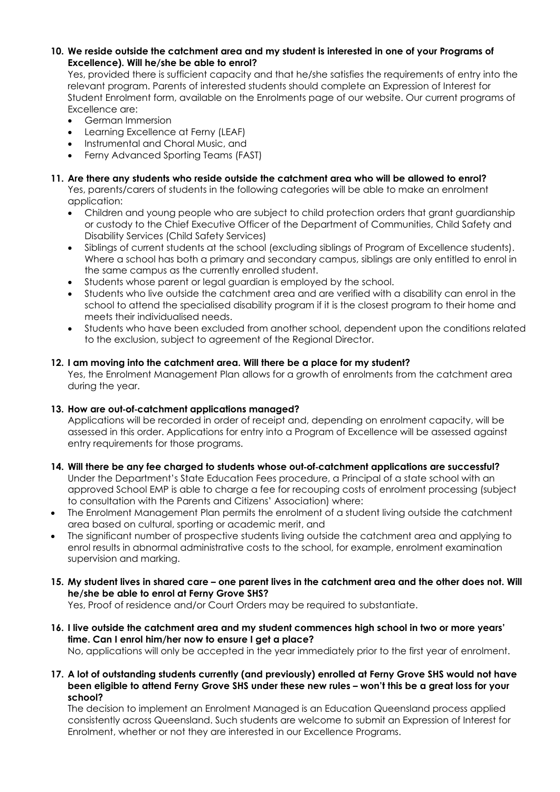#### **10. We reside outside the catchment area and my student is interested in one of your Programs of Excellence). Will he/she be able to enrol?**

Yes, provided there is sufficient capacity and that he/she satisfies the requirements of entry into the relevant program. Parents of interested students should complete an Expression of Interest for Student Enrolment form, available on the Enrolments page of our website. Our current programs of Excellence are:

- German Immersion
- Learning Excellence at Ferny (LEAF)
- Instrumental and Choral Music, and
- Ferny Advanced Sporting Teams (FAST)
- **11. Are there any students who reside outside the catchment area who will be allowed to enrol?**  Yes, parents/carers of students in the following categories will be able to make an enrolment application:
	- Children and young people who are subject to child protection orders that grant guardianship or custody to the Chief Executive Officer of the Department of Communities, Child Safety and Disability Services (Child Safety Services)
	- Siblings of current students at the school (excluding siblings of Program of Excellence students). Where a school has both a primary and secondary campus, siblings are only entitled to enrol in the same campus as the currently enrolled student.
	- Students whose parent or legal guardian is employed by the school.
	- Students who live outside the catchment area and are verified with a disability can enrol in the school to attend the specialised disability program if it is the closest program to their home and meets their individualised needs.
	- Students who have been excluded from another school, dependent upon the conditions related to the exclusion, subject to agreement of the Regional Director.

# **12. I am moving into the catchment area. Will there be a place for my student?**

Yes, the Enrolment Management Plan allows for a growth of enrolments from the catchment area during the year.

# **13. How are out**-**of**-**catchment applications managed?**

Applications will be recorded in order of receipt and, depending on enrolment capacity, will be assessed in this order. Applications for entry into a Program of Excellence will be assessed against entry requirements for those programs.

- **14. Will there be any fee charged to students whose out**-**of**-**catchment applications are successful?**  Under the Department's State Education Fees procedure, a Principal of a state school with an approved School EMP is able to charge a fee for recouping costs of enrolment processing (subject to consultation with the Parents and Citizens' Association) where:
- The Enrolment Management Plan permits the enrolment of a student living outside the catchment area based on cultural, sporting or academic merit, and
- The significant number of prospective students living outside the catchment area and applying to enrol results in abnormal administrative costs to the school, for example, enrolment examination supervision and marking.
- **15. My student lives in shared care one parent lives in the catchment area and the other does not. Will he/she be able to enrol at Ferny Grove SHS?**

Yes, Proof of residence and/or Court Orders may be required to substantiate.

**16. I live outside the catchment area and my student commences high school in two or more years' time. Can I enrol him/her now to ensure I get a place?** 

No, applications will only be accepted in the year immediately prior to the first year of enrolment.

**17. A lot of outstanding students currently (and previously) enrolled at Ferny Grove SHS would not have been eligible to attend Ferny Grove SHS under these new rules – won't this be a great loss for your school?** 

The decision to implement an Enrolment Managed is an Education Queensland process applied consistently across Queensland. Such students are welcome to submit an Expression of Interest for Enrolment, whether or not they are interested in our Excellence Programs.